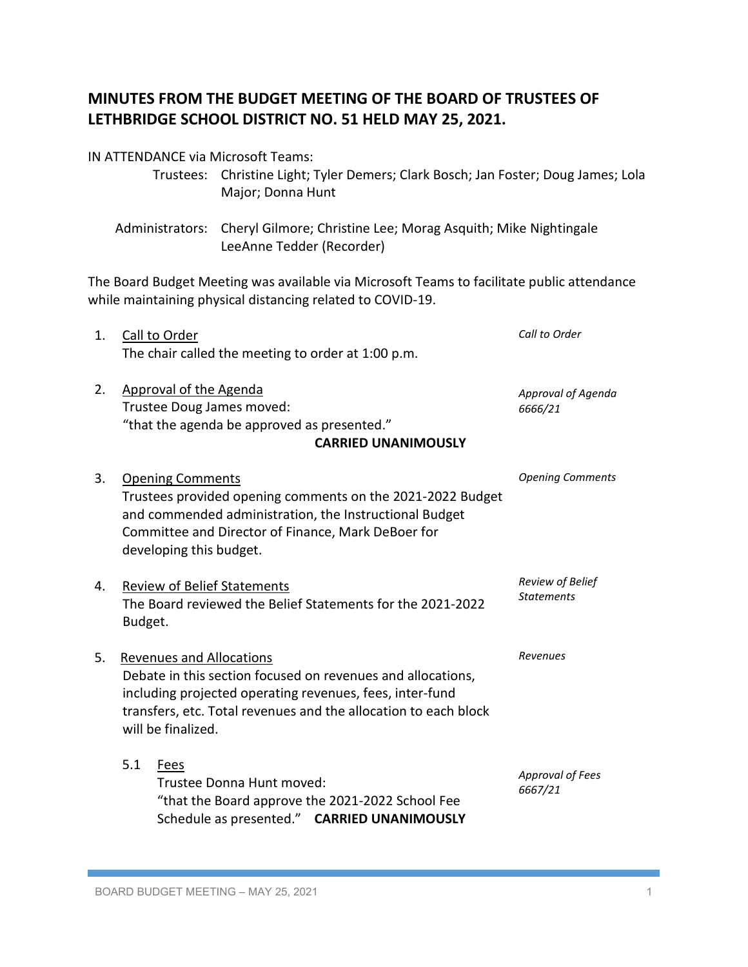## **MINUTES FROM THE BUDGET MEETING OF THE BOARD OF TRUSTEES OF LETHBRIDGE SCHOOL DISTRICT NO. 51 HELD MAY 25, 2021.**

Major; Donna Hunt

Trustees: Christine Light; Tyler Demers; Clark Bosch; Jan Foster; Doug James; Lola

Administrators: Cheryl Gilmore; Christine Lee; Morag Asquith; Mike Nightingale LeeAnne Tedder (Recorder) The Board Budget Meeting was available via Microsoft Teams to facilitate public attendance while maintaining physical distancing related to COVID-19. 1. Call to Order The chair called the meeting to order at 1:00 p.m. 2. Approval of the Agenda Trustee Doug James moved: "that the agenda be approved as presented."  **CARRIED UNANIMOUSLY** 3. Opening Comments Trustees provided opening comments on the 2021-2022 Budget and commended administration, the Instructional Budget Committee and Director of Finance, Mark DeBoer for developing this budget. 4. Review of Belief Statements The Board reviewed the Belief Statements for the 2021-2022 Budget. 5. Revenues and Allocations Debate in this section focused on revenues and allocations, including projected operating revenues, fees, inter-fund transfers, etc. Total revenues and the allocation to each block will be finalized. 5.1 Fees Trustee Donna Hunt moved: "that the Board approve the 2021-2022 School Fee Schedule as presented." **CARRIED UNANIMOUSLY** *Call to Order Approval of Agenda 6666/21 Opening Comments Review of Belief Statements Revenues Approval of Fees 6667/21*

IN ATTENDANCE via Microsoft Teams: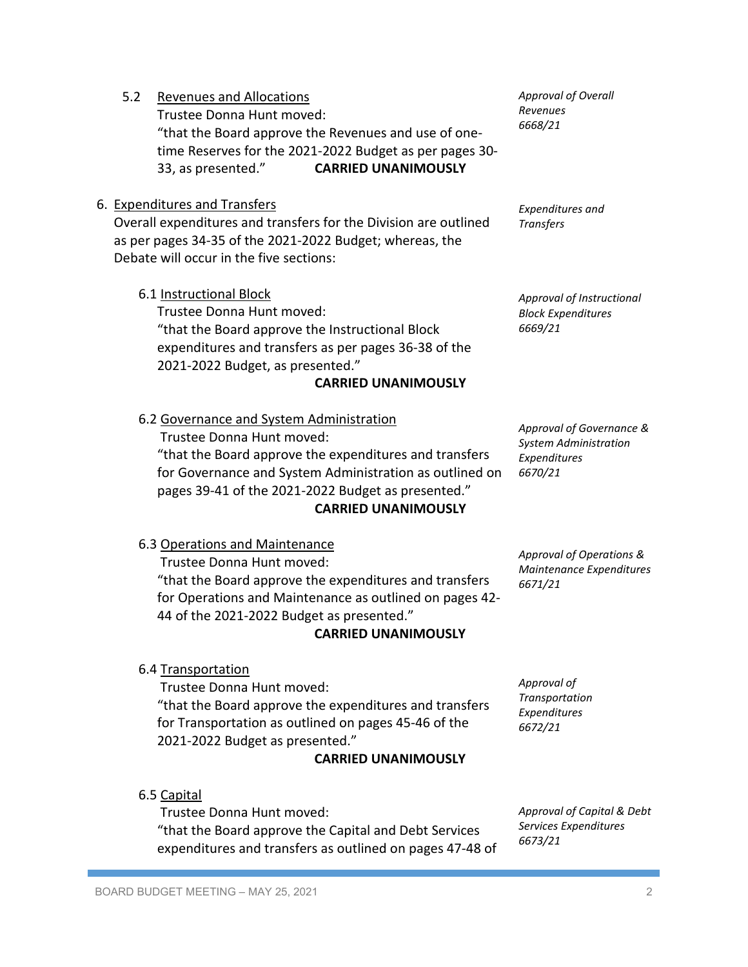5.2 Revenues and Allocations Trustee Donna Hunt moved: "that the Board approve the Revenues and use of onetime Reserves for the 2021-2022 Budget as per pages 30- 33, as presented." **CARRIED UNANIMOUSLY**

## 6. Expenditures and Transfers

Overall expenditures and transfers for the Division are outlined as per pages 34-35 of the 2021-2022 Budget; whereas, the Debate will occur in the five sections:

6.1 Instructional Block

Trustee Donna Hunt moved: "that the Board approve the Instructional Block expenditures and transfers as per pages 36-38 of the 2021-2022 Budget, as presented."

## **CARRIED UNANIMOUSLY**

6.2 Governance and System Administration Trustee Donna Hunt moved:

"that the Board approve the expenditures and transfers for Governance and System Administration as outlined on pages 39-41 of the 2021-2022 Budget as presented." **CARRIED UNANIMOUSLY**

*Approval of Governance & System Administration Expenditures 6670/21*

*Approval of Operations & Maintenance Expenditures*

*6671/21*

*Approval of Transportation Expenditures 6672/21*

6.3 Operations and Maintenance

Trustee Donna Hunt moved: "that the Board approve the expenditures and transfers for Operations and Maintenance as outlined on pages 42- 44 of the 2021-2022 Budget as presented."

## **CARRIED UNANIMOUSLY**

6.4 Transportation

Trustee Donna Hunt moved: "that the Board approve the expenditures and transfers for Transportation as outlined on pages 45-46 of the 2021-2022 Budget as presented."

# **CARRIED UNANIMOUSLY**

6.5 Capital

Trustee Donna Hunt moved: "that the Board approve the Capital and Debt Services expenditures and transfers as outlined on pages 47-48 of *Approval of Capital & Debt Services Expenditures 6673/21*

*Approval of Instructional Block Expenditures* 

*Approval of Overall Revenues 6668/21*

*Expenditures and* 

*Transfers*

*6669/21*